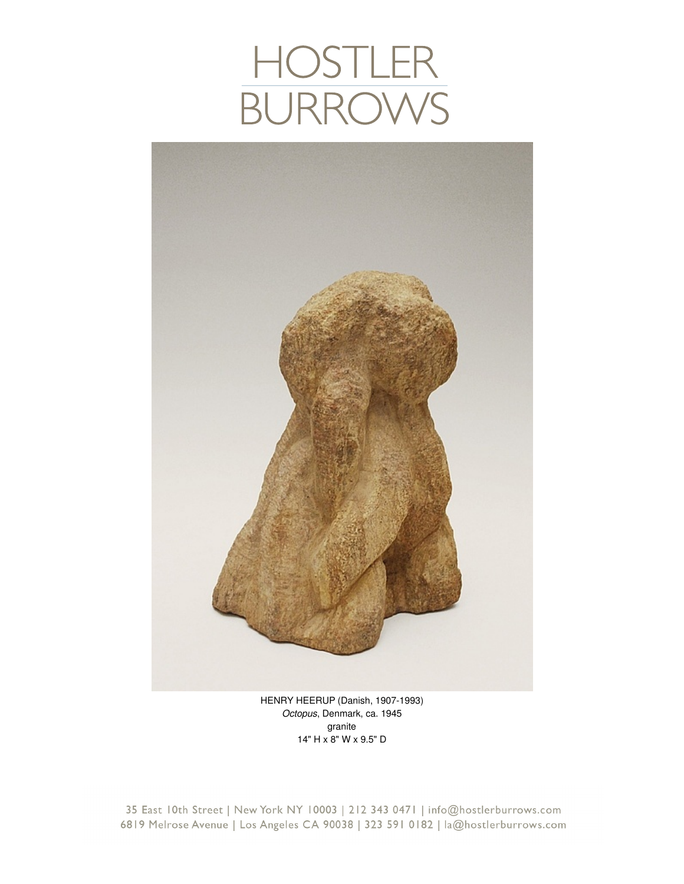## HOSTLER<br>BURROWS



HENRY HEERUP (Danish, 1907-1993) *Octopus*, Denmark, ca. 1945 granite 14" H x 8" W x 9.5" D

35 East 10th Street | New York NY 10003 | 212 343 0471 | info@hostlerburrows.com 6819 Melrose Avenue | Los Angeles CA 90038 | 323 591 0182 | la@hostlerburrows.com